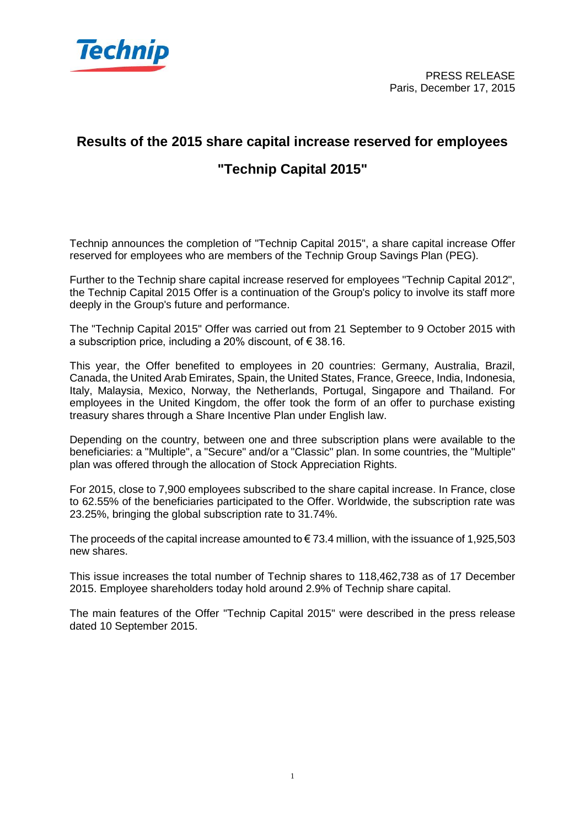

## **Results of the 2015 share capital increase reserved for employees "Technip Capital 2015"**

Technip announces the completion of "Technip Capital 2015", a share capital increase Offer reserved for employees who are members of the Technip Group Savings Plan (PEG).

Further to the Technip share capital increase reserved for employees "Technip Capital 2012", the Technip Capital 2015 Offer is a continuation of the Group's policy to involve its staff more deeply in the Group's future and performance.

The "Technip Capital 2015" Offer was carried out from 21 September to 9 October 2015 with a subscription price, including a 20% discount, of  $\epsilon$  38.16.

This year, the Offer benefited to employees in 20 countries: Germany, Australia, Brazil, Canada, the United Arab Emirates, Spain, the United States, France, Greece, India, Indonesia, Italy, Malaysia, Mexico, Norway, the Netherlands, Portugal, Singapore and Thailand. For employees in the United Kingdom, the offer took the form of an offer to purchase existing treasury shares through a Share Incentive Plan under English law.

Depending on the country, between one and three subscription plans were available to the beneficiaries: a "Multiple", a "Secure" and/or a "Classic" plan. In some countries, the "Multiple" plan was offered through the allocation of Stock Appreciation Rights.

For 2015, close to 7,900 employees subscribed to the share capital increase. In France, close to 62.55% of the beneficiaries participated to the Offer. Worldwide, the subscription rate was 23.25%, bringing the global subscription rate to 31.74%.

The proceeds of the capital increase amounted to  $\epsilon$  73.4 million, with the issuance of 1,925,503 new shares.

This issue increases the total number of Technip shares to 118,462,738 as of 17 December 2015. Employee shareholders today hold around 2.9% of Technip share capital.

The main features of the Offer "Technip Capital 2015" were described in the press release dated 10 September 2015.